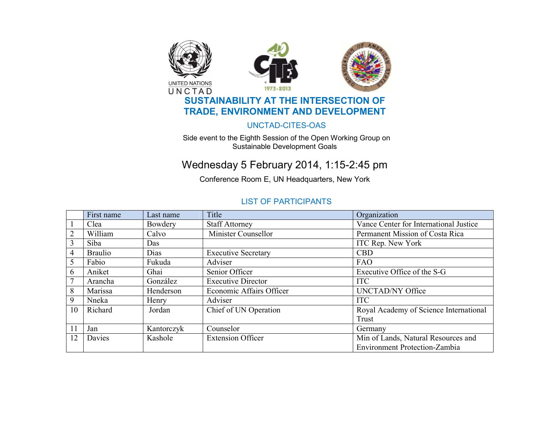

#### UNCTAD-CITES-OAS

Side event to the Eighth Session of the Open Working Group on Sustainable Development Goals

# Wednesday 5 February 2014, 1:15-2:45 pm

Conference Room E, UN Headquarters, New York

### LIST OF PARTICIPANTS

|                | First name     | Last name  | Title                      | Organization                           |
|----------------|----------------|------------|----------------------------|----------------------------------------|
|                | Clea           | Bowdery    | <b>Staff Attorney</b>      | Vance Center for International Justice |
| $\overline{2}$ | William        | Calvo      | Minister Counsellor        | Permanent Mission of Costa Rica        |
| 3              | Siba           | Das        |                            | ITC Rep. New York                      |
| $\overline{4}$ | <b>Braulio</b> | Dias       | <b>Executive Secretary</b> | <b>CBD</b>                             |
| 5              | Fabio          | Fukuda     | Adviser                    | FAO                                    |
| 6              | Aniket         | Ghai       | Senior Officer             | Executive Office of the S-G            |
| 7              | Arancha        | González   | <b>Executive Director</b>  | <b>ITC</b>                             |
| 8              | Marissa        | Henderson  | Economic Affairs Officer   | <b>UNCTAD/NY Office</b>                |
| 9              | Nneka          | Henry      | Adviser                    | <b>ITC</b>                             |
| 10             | Richard        | Jordan     | Chief of UN Operation      | Royal Academy of Science International |
|                |                |            |                            | Trust                                  |
| 11             | Jan            | Kantorczyk | Counselor                  | Germany                                |
| 12             | Davies         | Kashole    | <b>Extension Officer</b>   | Min of Lands, Natural Resources and    |
|                |                |            |                            | <b>Environment Protection-Zambia</b>   |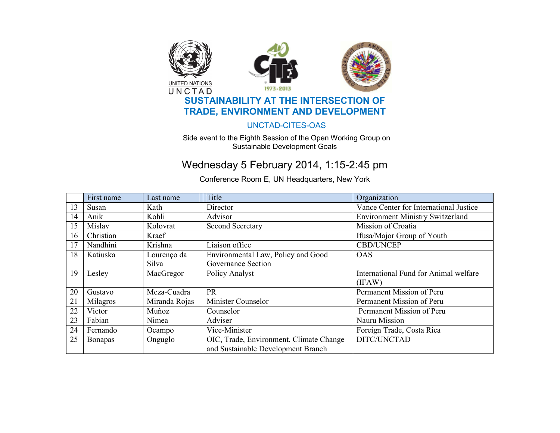

### UNCTAD-CITES-OAS

Side event to the Eighth Session of the Open Working Group on Sustainable Development Goals

# Wednesday 5 February 2014, 1:15-2:45 pm

Conference Room E, UN Headquarters, New York

|    | First name     | Last name     | Title                                   | Organization                            |
|----|----------------|---------------|-----------------------------------------|-----------------------------------------|
| 13 | Susan          | Kath          | Director                                | Vance Center for International Justice  |
| 14 | Anik           | Kohli         | Advisor                                 | <b>Environment Ministry Switzerland</b> |
| 15 | Mislav         | Kolovrat      | <b>Second Secretary</b>                 | Mission of Croatia                      |
| 16 | Christian      | Kraef         |                                         | Ifusa/Major Group of Youth              |
| 17 | Nandhini       | Krishna       | Liaison office                          | <b>CBD/UNCEP</b>                        |
| 18 | Katiuska       | Lourenço da   | Environmental Law, Policy and Good      | <b>OAS</b>                              |
|    |                | Silva         | Governance Section                      |                                         |
| 19 | Lesley         | MacGregor     | Policy Analyst                          | International Fund for Animal welfare   |
|    |                |               |                                         | (IFAW)                                  |
| 20 | Gustavo        | Meza-Cuadra   | PR                                      | Permanent Mission of Peru               |
| 21 | Milagros       | Miranda Rojas | Minister Counselor                      | Permanent Mission of Peru               |
| 22 | Victor         | Muñoz         | Counselor                               | Permanent Mission of Peru               |
| 23 | Fabian         | Nimea         | Adviser                                 | Nauru Mission                           |
| 24 | Fernando       | Ocampo        | Vice-Minister                           | Foreign Trade, Costa Rica               |
| 25 | <b>Bonapas</b> | Onguglo       | OIC, Trade, Environment, Climate Change | DITC/UNCTAD                             |
|    |                |               | and Sustainable Development Branch      |                                         |